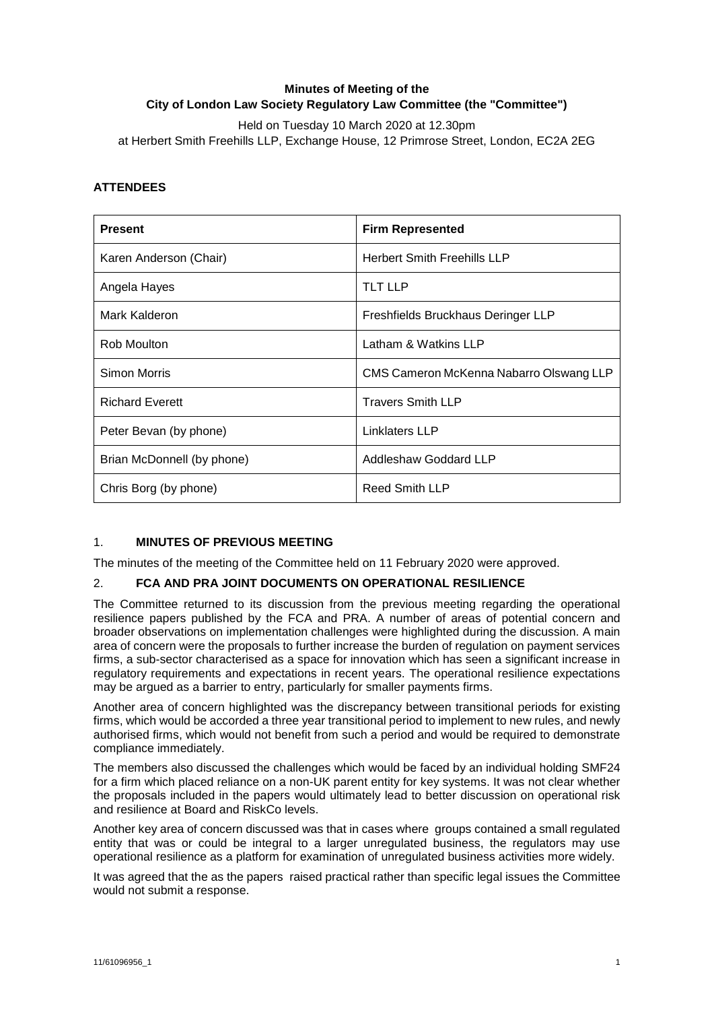# **Minutes of Meeting of the City of London Law Society Regulatory Law Committee (the "Committee")**

Held on Tuesday 10 March 2020 at 12.30pm at Herbert Smith Freehills LLP, Exchange House, 12 Primrose Street, London, EC2A 2EG

## **ATTENDEES**

| <b>Present</b>             | <b>Firm Represented</b>                 |
|----------------------------|-----------------------------------------|
| Karen Anderson (Chair)     | <b>Herbert Smith Freehills LLP</b>      |
| Angela Hayes               | <b>TLT LLP</b>                          |
| Mark Kalderon              | Freshfields Bruckhaus Deringer LLP      |
| Rob Moulton                | Latham & Watkins LLP                    |
| Simon Morris               | CMS Cameron McKenna Nabarro Olswang LLP |
| <b>Richard Everett</b>     | <b>Travers Smith LLP</b>                |
| Peter Bevan (by phone)     | Linklaters LLP                          |
| Brian McDonnell (by phone) | Addleshaw Goddard LLP                   |
| Chris Borg (by phone)      | <b>Reed Smith LLP</b>                   |

# 1. **MINUTES OF PREVIOUS MEETING**

The minutes of the meeting of the Committee held on 11 February 2020 were approved.

### 2. **FCA AND PRA JOINT DOCUMENTS ON OPERATIONAL RESILIENCE**

The Committee returned to its discussion from the previous meeting regarding the operational resilience papers published by the FCA and PRA. A number of areas of potential concern and broader observations on implementation challenges were highlighted during the discussion. A main area of concern were the proposals to further increase the burden of regulation on payment services firms, a sub-sector characterised as a space for innovation which has seen a significant increase in regulatory requirements and expectations in recent years. The operational resilience expectations may be argued as a barrier to entry, particularly for smaller payments firms.

Another area of concern highlighted was the discrepancy between transitional periods for existing firms, which would be accorded a three year transitional period to implement to new rules, and newly authorised firms, which would not benefit from such a period and would be required to demonstrate compliance immediately.

The members also discussed the challenges which would be faced by an individual holding SMF24 for a firm which placed reliance on a non-UK parent entity for key systems. It was not clear whether the proposals included in the papers would ultimately lead to better discussion on operational risk and resilience at Board and RiskCo levels.

Another key area of concern discussed was that in cases where groups contained a small regulated entity that was or could be integral to a larger unregulated business, the regulators may use operational resilience as a platform for examination of unregulated business activities more widely.

It was agreed that the as the papers raised practical rather than specific legal issues the Committee would not submit a response.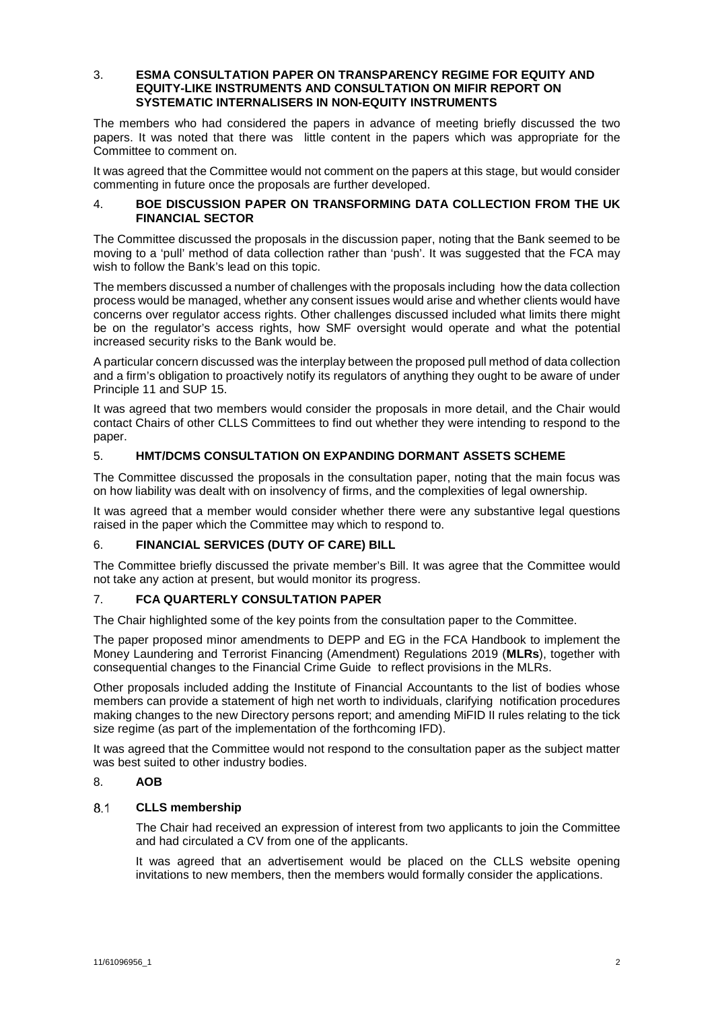#### 3. **ESMA CONSULTATION PAPER ON TRANSPARENCY REGIME FOR EQUITY AND EQUITY-LIKE INSTRUMENTS AND CONSULTATION ON MIFIR REPORT ON SYSTEMATIC INTERNALISERS IN NON-EQUITY INSTRUMENTS**

The members who had considered the papers in advance of meeting briefly discussed the two papers. It was noted that there was little content in the papers which was appropriate for the Committee to comment on.

It was agreed that the Committee would not comment on the papers at this stage, but would consider commenting in future once the proposals are further developed.

#### 4. **BOE DISCUSSION PAPER ON TRANSFORMING DATA COLLECTION FROM THE UK FINANCIAL SECTOR**

The Committee discussed the proposals in the discussion paper, noting that the Bank seemed to be moving to a 'pull' method of data collection rather than 'push'. It was suggested that the FCA may wish to follow the Bank's lead on this topic.

The members discussed a number of challenges with the proposals including how the data collection process would be managed, whether any consent issues would arise and whether clients would have concerns over regulator access rights. Other challenges discussed included what limits there might be on the regulator's access rights, how SMF oversight would operate and what the potential increased security risks to the Bank would be.

A particular concern discussed was the interplay between the proposed pull method of data collection and a firm's obligation to proactively notify its regulators of anything they ought to be aware of under Principle 11 and SUP 15.

It was agreed that two members would consider the proposals in more detail, and the Chair would contact Chairs of other CLLS Committees to find out whether they were intending to respond to the paper.

### 5. **HMT/DCMS CONSULTATION ON EXPANDING DORMANT ASSETS SCHEME**

The Committee discussed the proposals in the consultation paper, noting that the main focus was on how liability was dealt with on insolvency of firms, and the complexities of legal ownership.

It was agreed that a member would consider whether there were any substantive legal questions raised in the paper which the Committee may which to respond to.

### 6. **FINANCIAL SERVICES (DUTY OF CARE) BILL**

The Committee briefly discussed the private member's Bill. It was agree that the Committee would not take any action at present, but would monitor its progress.

### 7. **FCA QUARTERLY CONSULTATION PAPER**

The Chair highlighted some of the key points from the consultation paper to the Committee.

The paper proposed minor amendments to DEPP and EG in the FCA Handbook to implement the Money Laundering and Terrorist Financing (Amendment) Regulations 2019 (**MLRs**), together with consequential changes to the Financial Crime Guide to reflect provisions in the MLRs.

Other proposals included adding the Institute of Financial Accountants to the list of bodies whose members can provide a statement of high net worth to individuals, clarifying notification procedures making changes to the new Directory persons report; and amending MiFID II rules relating to the tick size regime (as part of the implementation of the forthcoming IFD).

It was agreed that the Committee would not respond to the consultation paper as the subject matter was best suited to other industry bodies.

## 8. **AOB**

#### $8.1$ **CLLS membership**

The Chair had received an expression of interest from two applicants to join the Committee and had circulated a CV from one of the applicants.

It was agreed that an advertisement would be placed on the CLLS website opening invitations to new members, then the members would formally consider the applications.